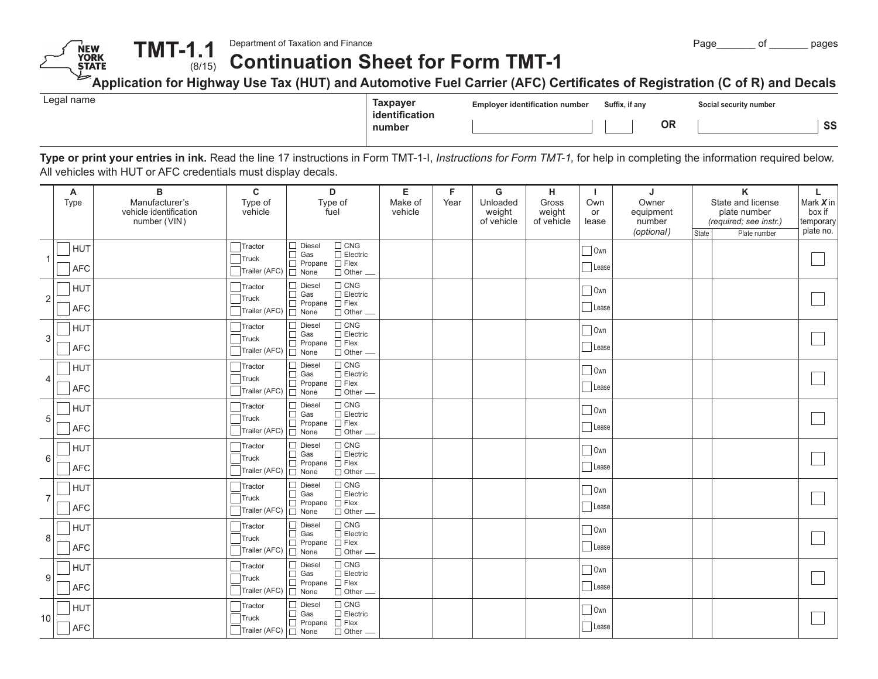**Continuation Sheet for Form TMT-1 TMT-1.1**(8/15)

**Application for Highway Use Tax (HUT) and Automotive Fuel Carrier (AFC) Certificates of Registration (C of R) and Decals**

| Taxpaver                 | <b>Employer identification number</b> | Suffix. if any |    | Social security number |    |
|--------------------------|---------------------------------------|----------------|----|------------------------|----|
| identification<br>number |                                       |                | ΟR |                        | SS |

**Type or print your entries in ink.** Read the line 17 instructions in Form TMT-1-I, *Instructions for Form TMT-1,* for help in completing the information required below. All vehicles with HUT or AFC credentials must display decals.

|                  | Α<br>Type                | B<br>Manufacturer's<br>vehicle identification<br>number (VIN) | $\mathbf c$<br>Type of<br>vehicle                                 | D<br>Type of<br>fuel                                                                                                             | Е<br>Make of<br>vehicle | F<br>Year | G<br>Unloaded<br>weight<br>of vehicle | н<br>Gross<br>weight<br>of vehicle | -1<br>Own<br>or<br>lease | J<br>Owner<br>equipment<br>number<br>(optional) | State | $\mathsf K$<br>State and license<br>plate number<br>(required; see instr.)<br>Plate number | L.<br>Mark X in<br>box if<br>temporary<br>plate no. |
|------------------|--------------------------|---------------------------------------------------------------|-------------------------------------------------------------------|----------------------------------------------------------------------------------------------------------------------------------|-------------------------|-----------|---------------------------------------|------------------------------------|--------------------------|-------------------------------------------------|-------|--------------------------------------------------------------------------------------------|-----------------------------------------------------|
|                  | <b>HUT</b><br><b>AFC</b> |                                                               | $\top$ Tractor<br>Truck<br>Trailer (AFC)                          | $\Box$ CNG<br>$\Box$ Diesel<br>$\Box$ Gas<br>$\Box$ Electric<br>$\Box$ Propane $\Box$ Flex<br>$\Box$ Other $\Box$<br>$\Box$ None |                         |           |                                       |                                    | $\Box$ Own<br>Lease      |                                                 |       |                                                                                            |                                                     |
| $\overline{2}$   | <b>HUT</b><br><b>AFC</b> |                                                               | $\overline{\phantom{a}}$ Tractor<br>$\Box$ Truck<br>Trailer (AFC) | $\Box$ CNG<br>$\Box$ Diesel<br>$\Box$ Electric<br>$\Box$ Gas<br>$\Box$ Propane $\Box$ Flex<br>$\Box$ None<br>$\Box$ Other $\Box$ |                         |           |                                       |                                    | Own<br>Lease             |                                                 |       |                                                                                            |                                                     |
| 3                | <b>HUT</b><br><b>AFC</b> |                                                               | Tractor<br>Truck<br>Trailer (AFC)                                 | $\Box$ CNG<br>$\Box$ Diesel<br>$\Box$ Electric<br>$\Box$ Gas<br>$\Box$ Propane $\Box$ Flex<br>$\Box$ Other $\Box$<br>$\Box$ None |                         |           |                                       |                                    | Own<br>Lease             |                                                 |       |                                                                                            |                                                     |
| 4                | <b>HUT</b><br><b>AFC</b> |                                                               | $\sqrt{\frac{1}{1}}$ Tractor<br>Truck<br>Trailer (AFC)            | $\Box$ CNG<br>$\Box$ Diesel<br>$\Box$ Electric<br>$\Box$ Gas<br>$\Box$ Propane $\Box$ Flex<br>$\Box$ Other $\Box$<br>$\Box$ None |                         |           |                                       |                                    | $\Box$ Own<br>Lease      |                                                 |       |                                                                                            |                                                     |
| 5                | <b>HUT</b><br><b>AFC</b> |                                                               | Tractor<br>$\exists$ Truck<br>Trailer (AFC)                       | $\Box$ CNG<br>$\Box$ Diesel<br>$\Box$ Electric<br>$\Box$ Gas<br>$\Box$ Propane $\Box$ Flex<br>$\Box$ None<br>$\Box$ Other $\Box$ |                         |           |                                       |                                    | $\Box$ Own<br>Lease      |                                                 |       |                                                                                            |                                                     |
| 6                | <b>HUT</b><br><b>AFC</b> |                                                               | Tractor<br>Truck<br>Trailer (AFC)                                 | $\Box$ CNG<br>$\Box$ Diesel<br>$\Box$ Gas<br>$\Box$ Electric<br>$\Box$ Propane $\Box$ Flex<br>$\Box$ Other $\Box$<br>$\Box$ None |                         |           |                                       |                                    | $\Box$ Own<br>Lease      |                                                 |       |                                                                                            |                                                     |
|                  | <b>HUT</b><br><b>AFC</b> |                                                               | $\exists$ Tractor<br>$\exists$ Truck<br>Trailer (AFC)             | $\Box$ CNG<br>$\Box$ Diesel<br>$\Box$ Electric<br>$\Box$ Gas<br>$\Box$ Propane $\Box$ Flex<br>$\Box$ None<br>$\Box$ Other $\Box$ |                         |           |                                       |                                    | $\Box$ Own<br>Lease      |                                                 |       |                                                                                            |                                                     |
| 8                | <b>HUT</b><br><b>AFC</b> |                                                               | $\top$ Tractor<br>$\exists$ Truck<br>Trailer (AFC)                | $\Box$ CNG<br>$\Box$ Diesel<br>$\Box$ Electric<br>$\Box$ Gas<br>$\Box$ Propane $\Box$ Flex<br>$\Box$ None<br>$\Box$ Other $\Box$ |                         |           |                                       |                                    | $\Box$ Own<br>Lease      |                                                 |       |                                                                                            |                                                     |
| $\boldsymbol{9}$ | <b>HUT</b><br><b>AFC</b> |                                                               | $\top$ Tractor<br>$\exists$ Truck<br>Trailer (AFC)                | $\Box$ CNG<br>$\Box$ Diesel<br>$\Box$ Electric<br>$\Box$ Gas<br>$\Box$ Propane $\Box$ Flex<br>$\Box$ Other $\Box$<br>$\Box$ None |                         |           |                                       |                                    | Own<br>Lease             |                                                 |       |                                                                                            |                                                     |
| 10               | <b>HUT</b><br><b>AFC</b> |                                                               | $7$ Tractor<br>Truck<br>Trailer (AFC)   □ None                    | $\Box$ CNG<br>$\Box$ Diesel<br>$\Box$ Electric<br>$\Box$ Gas<br>$\Box$ Propane $\Box$ Flex<br>$\Box$ Other $\Box$                |                         |           |                                       |                                    | Own<br>Lease             |                                                 |       |                                                                                            |                                                     |